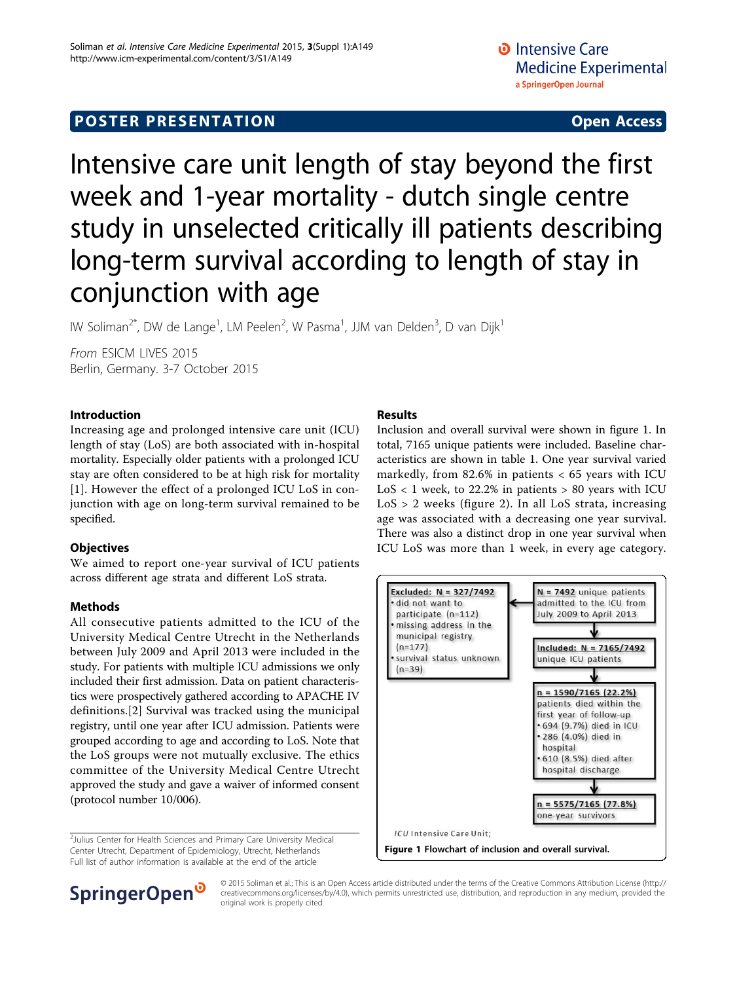### **POSTER PRESENTATION CONSUMING ACCESS**

# Intensive care unit length of stay beyond the first week and 1-year mortality - dutch single centre study in unselected critically ill patients describing long-term survival according to length of stay in conjunction with age

IW Soliman<sup>2\*</sup>, DW de Lange<sup>1</sup>, LM Peelen<sup>2</sup>, W Pasma<sup>1</sup>, JJM van Delden<sup>3</sup>, D van Dijk<sup>1</sup>

From ESICM LIVES 2015 Berlin, Germany. 3-7 October 2015

#### Introduction

Increasing age and prolonged intensive care unit (ICU) length of stay (LoS) are both associated with in-hospital mortality. Especially older patients with a prolonged ICU stay are often considered to be at high risk for mortality [[1](#page-2-0)]. However the effect of a prolonged ICU LoS in conjunction with age on long-term survival remained to be specified.

#### **Objectives**

We aimed to report one-year survival of ICU patients across different age strata and different LoS strata.

#### Methods

All consecutive patients admitted to the ICU of the University Medical Centre Utrecht in the Netherlands between July 2009 and April 2013 were included in the study. For patients with multiple ICU admissions we only included their first admission. Data on patient characteristics were prospectively gathered according to APACHE IV definitions.[[2\]](#page-2-0) Survival was tracked using the municipal registry, until one year after ICU admission. Patients were grouped according to age and according to LoS. Note that the LoS groups were not mutually exclusive. The ethics committee of the University Medical Centre Utrecht approved the study and gave a waiver of informed consent (protocol number 10/006).

<sup>2</sup>Julius Center for Health Sciences and Primary Care University Medical Center Utrecht, Department of Epidemiology, Utrecht, Netherlands Full list of author information is available at the end of the article

#### Results

Inclusion and overall survival were shown in figure 1. In total, 7165 unique patients were included. Baseline characteristics are shown in table [1.](#page-1-0) One year survival varied markedly, from  $82.6\%$  in patients  $< 65$  years with ICU  $LoS < 1$  week, to 22.2% in patients  $> 80$  years with ICU  $LoS > 2$  weeks (figure [2\)](#page-1-0). In all  $LoS$  strata, increasing age was associated with a decreasing one year survival. There was also a distinct drop in one year survival when ICU LoS was more than 1 week, in every age category.



## SpringerOpen<sup>®</sup>

© 2015 Soliman et al.; This is an Open Access article distributed under the terms of the Creative Commons Attribution License [\(http://](http://creativecommons.org/licenses/by/4.0) [creativecommons.org/licenses/by/4.0](http://creativecommons.org/licenses/by/4.0)), which permits unrestricted use, distribution, and reproduction in any medium, provided the original work is properly cited.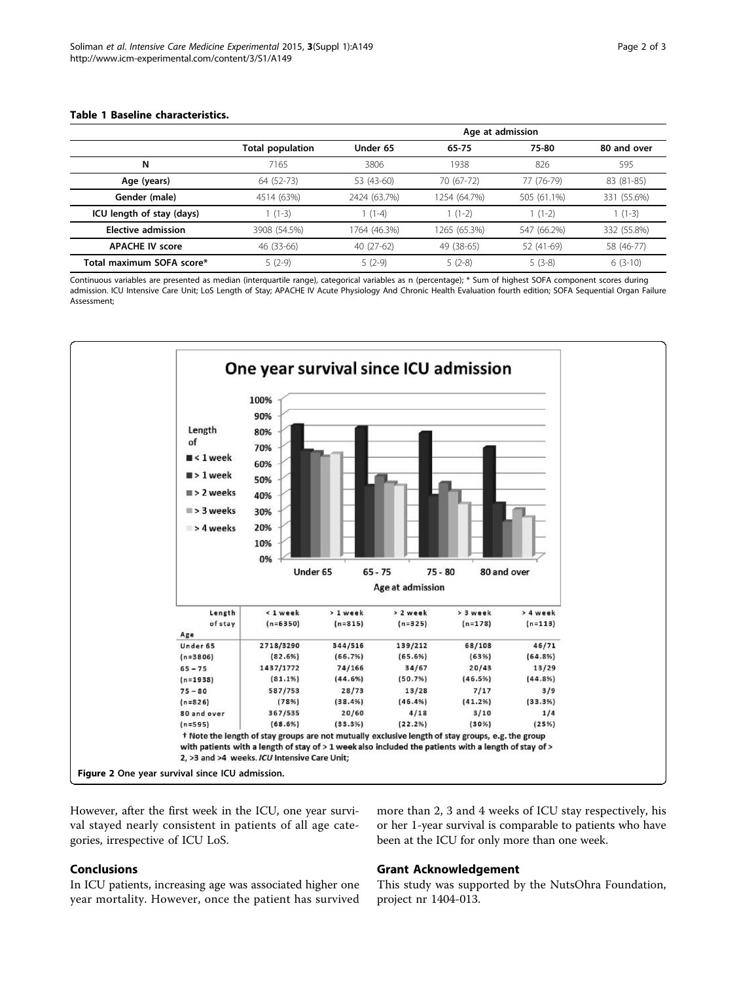#### <span id="page-1-0"></span>Table 1 Baseline characteristics.

|                           |                         | Age at admission |              |             |             |
|---------------------------|-------------------------|------------------|--------------|-------------|-------------|
|                           | <b>Total population</b> | Under 65         | 65-75        | 75-80       | 80 and over |
| N                         | 7165                    | 3806             | 1938         | 826         | 595         |
| Age (years)               | 64 (52-73)              | 53 (43-60)       | 70 (67-72)   | 77 (76-79)  | 83 (81-85)  |
| Gender (male)             | 4514 (63%)              | 2424 (63.7%)     | 1254 (64.7%) | 505 (61.1%) | 331 (55.6%) |
| ICU length of stay (days) | $(1-3)$                 | $1(1-4)$         | $1(1-2)$     | $1(1-2)$    | $1(1-3)$    |
| <b>Elective admission</b> | 3908 (54.5%)            | 1764 (46.3%)     | 1265 (65.3%) | 547 (66.2%) | 332 (55.8%) |
| <b>APACHE IV score</b>    | 46 (33-66)              | 40 (27-62)       | 49 (38-65)   | 52 (41-69)  | 58 (46-77)  |
| Total maximum SOFA score* | $5(2-9)$                | $5(2-9)$         | $5(2-8)$     | $5(3-8)$    | $6(3-10)$   |

Continuous variables are presented as median (interquartile range), categorical variables as n (percentage); \* Sum of highest SOFA component scores during admission. ICU Intensive Care Unit; LoS Length of Stay; APACHE IV Acute Physiology And Chronic Health Evaluation fourth edition; SOFA Sequential Organ Failure Assessment;



However, after the first week in the ICU, one year survival stayed nearly consistent in patients of all age categories, irrespective of ICU LoS.

#### Conclusions

Grant Acknowledgement

In ICU patients, increasing age was associated higher one year mortality. However, once the patient has survived

#### This study was supported by the NutsOhra Foundation, project nr 1404-013.

more than 2, 3 and 4 weeks of ICU stay respectively, his or her 1-year survival is comparable to patients who have

been at the ICU for only more than one week.